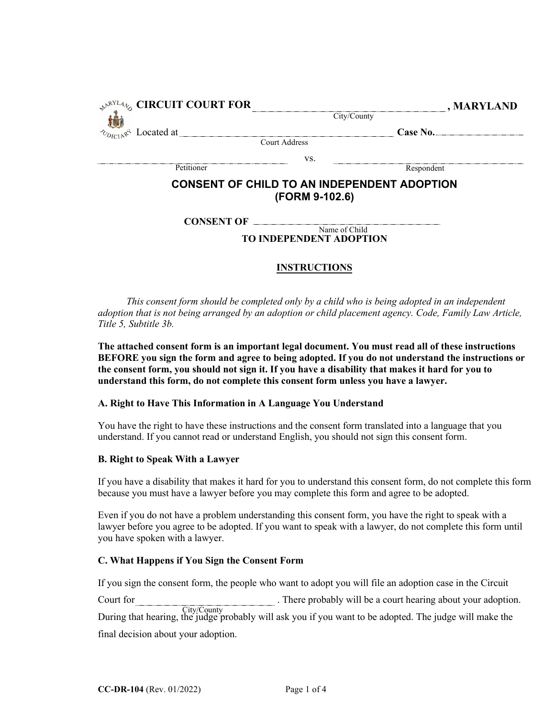| $\mathcal{P}^{\text{RYL4}}$ CIRCUIT COURT FOR |                                                                      | $\blacksquare$ , MARYLAND |
|-----------------------------------------------|----------------------------------------------------------------------|---------------------------|
|                                               | City/County                                                          |                           |
| $\sim_{D_{I\cap I}\Lambda}$ Located at        |                                                                      | Case No.                  |
|                                               | <b>Court Address</b>                                                 |                           |
|                                               | VS.                                                                  |                           |
| Petitioner                                    |                                                                      | Respondent                |
|                                               | <b>CONSENT OF CHILD TO AN INDEPENDENT ADOPTION</b><br>(FORM 9-102.6) |                           |
| <b>CONSENT OF</b>                             | Name of Child                                                        |                           |
|                                               | TO INDEPENDENT ADOPTION                                              |                           |

# **INSTRUCTIONS**

*This consent form should be completed only by a child who is being adopted in an independent adoption that is not being arranged by an adoption or child placement agency. Code, Family Law Article, Title 5, Subtitle 3b.* 

**The attached consent form is an important legal document. You must read all of these instructions BEFORE you sign the form and agree to being adopted. If you do not understand the instructions or the consent form, you should not sign it. If you have a disability that makes it hard for you to understand this form, do not complete this consent form unless you have a lawyer.**

### **A. Right to Have This Information in A Language You Understand**

You have the right to have these instructions and the consent form translated into a language that you understand. If you cannot read or understand English, you should not sign this consent form.

#### **B. Right to Speak With a Lawyer**

If you have a disability that makes it hard for you to understand this consent form, do not complete this form because you must have a lawyer before you may complete this form and agree to be adopted.

Even if you do not have a problem understanding this consent form, you have the right to speak with a lawyer before you agree to be adopted. If you want to speak with a lawyer, do not complete this form until you have spoken with a lawyer.

### **C. What Happens if You Sign the Consent Form**

If you sign the consent form, the people who want to adopt you will file an adoption case in the Circuit

Court for  $\boxed{\blacksquare}$ . There probably will be a court hearing about your adoption.

During that hearing, the judge probably will ask you if you want to be adopted. The judge will make the City/County final decision about your adoption.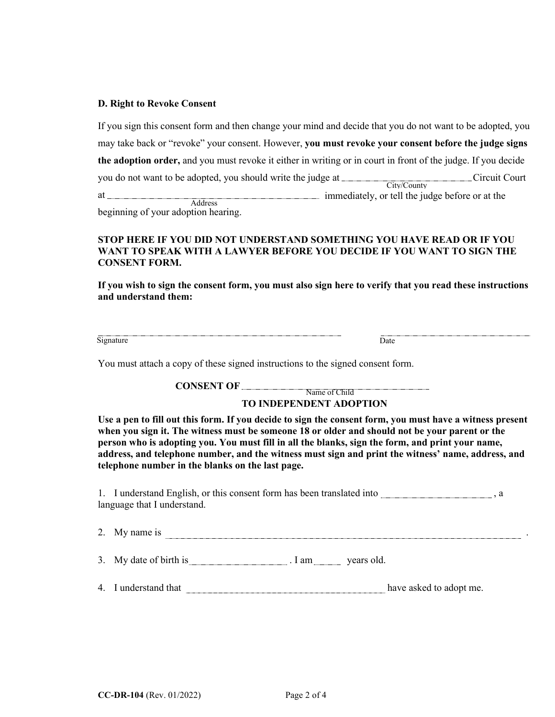### **D. Right to Revoke Consent**

If you sign this consent form and then change your mind and decide that you do not want to be adopted, you may take back or "revoke" your consent. However, **you must revoke your consent before the judge signs the adoption order,** and you must revoke it either in writing or in court in front of the judge. If you decide you do not want to be adopted, you should write the judge at  $\frac{|\bullet|}{\text{City/Country}}$  Circuit Court at immediately, or tell the judge before or at the beginning of your adoption hearing. Address

## **STOP HERE IF YOU DID NOT UNDERSTAND SOMETHING YOU HAVE READ OR IF YOU WANT TO SPEAK WITH A LAWYER BEFORE YOU DECIDE IF YOU WANT TO SIGN THE CONSENT FORM.**

**If you wish to sign the consent form, you must also sign here to verify that you read these instructions and understand them:**

Signature Date

You must attach a copy of these signed instructions to the signed consent form.

**CONSENT OF Name of Child** 

# **TO INDEPENDENT ADOPTION**

**Use a pen to fill out this form. If you decide to sign the consent form, you must have a witness present when you sign it. The witness must be someone 18 or older and should not be your parent or the person who is adopting you. You must fill in all the blanks, sign the form, and print your name, address, and telephone number, and the witness must sign and print the witness' name, address, and telephone number in the blanks on the last page.**

1. I understand English, or this consent form has been translated into *subsetential* set al., a language that I understand.

| $\sim$<br>$\overline{\phantom{m}}$ | -NF<br>на<br>$\cdot$ iie<br>$\cdot$<br>- 110 |  |  |
|------------------------------------|----------------------------------------------|--|--|
|------------------------------------|----------------------------------------------|--|--|

3. My date of birth is . I am years old.

4. I understand that have asked to adopt me.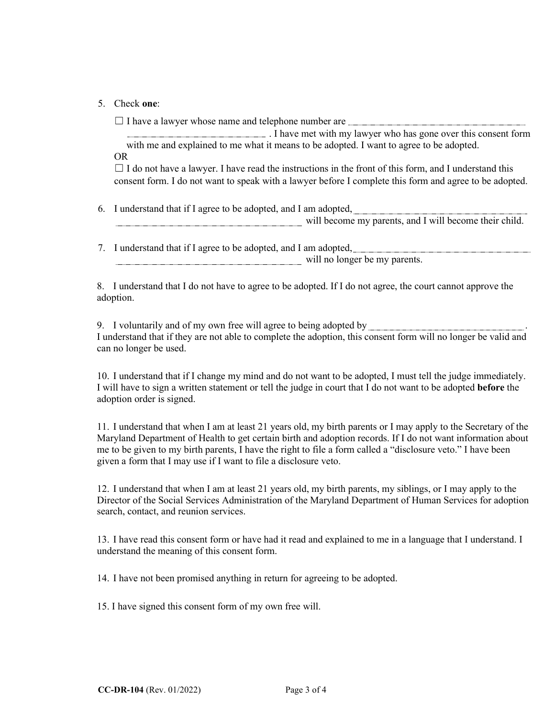## 5. Check **one**:

 $\Box$  I have a lawyer whose name and telephone number are  $\Box$ 

. I have met with my lawyer who has gone over this consent form with me and explained to me what it means to be adopted. I want to agree to be adopted. OR

 $\Box$  I do not have a lawyer. I have read the instructions in the front of this form, and I understand this consent form. I do not want to speak with a lawyer before I complete this form and agree to be adopted.

6. I understand that if I agree to be adopted, and I am adopted,

will become my parents, and I will become their child.

7. I understand that if I agree to be adopted, and I am adopted, will no longer be my parents.

8. I understand that I do not have to agree to be adopted. If I do not agree, the court cannot approve the adoption.

9. I voluntarily and of my own free will agree to being adopted by . I understand that if they are not able to complete the adoption, this consent form will no longer be valid and can no longer be used.

10. I understand that if I change my mind and do not want to be adopted, I must tell the judge immediately. I will have to sign a written statement or tell the judge in court that I do not want to be adopted **before** the adoption order is signed.

11. I understand that when I am at least 21 years old, my birth parents or I may apply to the Secretary of the Maryland Department of Health to get certain birth and adoption records. If I do not want information about me to be given to my birth parents, I have the right to file a form called a "disclosure veto." I have been given a form that I may use if I want to file a disclosure veto.

12. I understand that when I am at least 21 years old, my birth parents, my siblings, or I may apply to the Director of the Social Services Administration of the Maryland Department of Human Services for adoption search, contact, and reunion services.

13. I have read this consent form or have had it read and explained to me in a language that I understand. I understand the meaning of this consent form.

14. I have not been promised anything in return for agreeing to be adopted.

15. I have signed this consent form of my own free will.